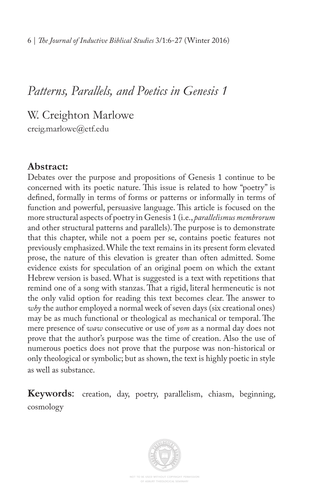# *Patterns, Parallels, and Poetics in Genesis 1*

# W. Creighton Marlowe creig.marlowe@etf.edu

**Abstract:**

Debates over the purpose and propositions of Genesis 1 continue to be concerned with its poetic nature. This issue is related to how "poetry" is defned, formally in terms of forms or patterns or informally in terms of function and powerful, persuasive language. This article is focused on the more structural aspects of poetry in Genesis 1 (i.e., *parallelismus membrorum* and other structural patterns and parallels). The purpose is to demonstrate that this chapter, while not a poem per se, contains poetic features not previously emphasized. While the text remains in its present form elevated prose, the nature of this elevation is greater than often admitted. Some evidence exists for speculation of an original poem on which the extant Hebrew version is based. What is suggested is a text with repetitions that remind one of a song with stanzas. That a rigid, literal hermeneutic is not the only valid option for reading this text becomes clear. The answer to *why* the author employed a normal week of seven days (six creational ones) may be as much functional or theological as mechanical or temporal. The mere presence of *waw* consecutive or use of *yom* as a normal day does not prove that the author's purpose was the time of creation. Also the use of numerous poetics does not prove that the purpose was non-historical or only theological or symbolic; but as shown, the text is highly poetic in style as well as substance.

**Keywords**: creation, day, poetry, parallelism, chiasm, beginning, cosmology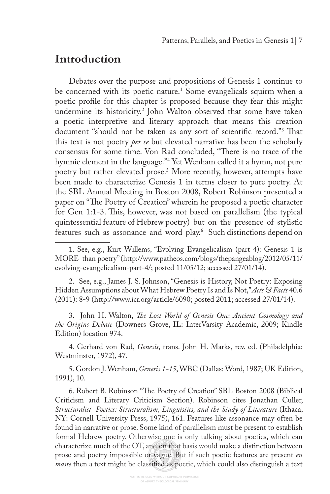# **Introduction**

Debates over the purpose and propositions of Genesis 1 continue to be concerned with its poetic nature.<sup>1</sup> Some evangelicals squirm when a poetic profle for this chapter is proposed because they fear this might undermine its historicity.2 John Walton observed that some have taken a poetic interpretive and literary approach that means this creation document "should not be taken as any sort of scientific record."<sup>3</sup> That this text is not poetry *per se* but elevated narrative has been the scholarly consensus for some time. Von Rad concluded, "There is no trace of the hymnic element in the language."4 Yet Wenham called it a hymn, not pure poetry but rather elevated prose.5 More recently, however, attempts have been made to characterize Genesis 1 in terms closer to pure poetry. At the SBL Annual Meeting in Boston 2008, Robert Robinson presented a paper on "The Poetry of Creation" wherein he proposed a poetic character for Gen 1:1-3. This, however, was not based on parallelism (the typical quintessential feature of Hebrew poetry) but on the presence of stylistic features such as assonance and word play.6 Such distinctions depend on

2. See, e.g., James J. S. Johnson, "Genesis is History, Not Poetry: Exposing Hidden Assumptions about What Hebrew Poetry Is and Is Not," *Acts & Facts* 40.6 (2011): 8-9 (http://www.icr.org/article/6090; posted 2011; accessed 27/01/14).

3. John H. Walton, *Te Lost World of Genesis One: Ancient Cosmology and the Origins Debate* (Downers Grove, IL: InterVarsity Academic, 2009; Kindle Edition) location 974.

4. Gerhard von Rad, *Genesis*, trans. John H. Marks, rev. ed. (Philadelphia: Westminster, 1972), 47.

5. Gordon J. Wenham, *Genesis 1-15*, WBC (Dallas: Word, 1987; UK Edition, 1991), 10.

6. Robert B. Robinson "The Poetry of Creation" SBL Boston 2008 (Biblical Criticism and Literary Criticism Section). Robinson cites Jonathan Culler, *Structuralist Poetics: Structuralism, Linguistics, and the Study of Literature* (Ithaca, NY: Cornell University Press, 1975), 161. Features like assonance may often be found in narrative or prose. Some kind of parallelism must be present to establish formal Hebrew poetry. Otherwise one is only talking about poetics, which can characterize much of the OT, and on that basis would make a distinction between prose and poetry impossible or vague. But if such poetic features are present *en masse* then a text might be classifed as poetic, which could also distinguish a text

<sup>1.</sup> See, e.g., Kurt Willems, "Evolving Evangelicalism (part 4): Genesis 1 is MORE than poetry" (http://www.patheos.com/blogs/thepangeablog/2012/05/11/ evolving-evangelicalism-part-4/; posted 11/05/12; accessed 27/01/14).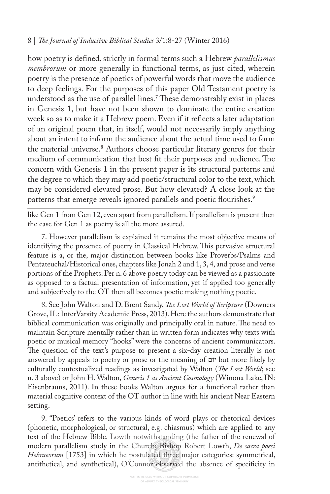#### 8 | *Te Journal of Inductive Biblical Studies* 3/1:8-27 (Winter 2016)

how poetry is defned, strictly in formal terms such a Hebrew *parallelismus membrorum* or more generally in functional terms, as just cited, wherein poetry is the presence of poetics of powerful words that move the audience to deep feelings. For the purposes of this paper Old Testament poetry is understood as the use of parallel lines.<sup>7</sup> These demonstrably exist in places in Genesis 1, but have not been shown to dominate the entire creation week so as to make it a Hebrew poem. Even if it refects a later adaptation of an original poem that, in itself, would not necessarily imply anything about an intent to inform the audience about the actual time used to form the material universe.8 Authors choose particular literary genres for their medium of communication that best fit their purposes and audience. The concern with Genesis 1 in the present paper is its structural patterns and the degree to which they may add poetic/structural color to the text, which may be considered elevated prose. But how elevated? A close look at the patterns that emerge reveals ignored parallels and poetic flourishes.<sup>9</sup>

like Gen 1 from Gen 12, even apart from parallelism. If parallelism is present then the case for Gen 1 as poetry is all the more assured.

7. However parallelism is explained it remains the most objective means of identifying the presence of poetry in Classical Hebrew. This pervasive structural feature is a, or the, major distinction between books like Proverbs/Psalms and Pentateuchal/Historical ones, chapters like Jonah 2 and 1, 3, 4, and prose and verse portions of the Prophets. Per n. 6 above poetry today can be viewed as a passionate as opposed to a factual presentation of information, yet if applied too generally and subjectively to the OT then all becomes poetic making nothing poetic.

8. See John Walton and D. Brent Sandy, *Te Lost World of Scripture* (Downers Grove, IL: InterVarsity Academic Press, 2013). Here the authors demonstrate that biblical communication was originally and principally oral in nature. The need to maintain Scripture mentally rather than in written form indicates why texts with poetic or musical memory "hooks" were the concerns of ancient communicators. The question of the text's purpose to present a six-day creation literally is not answered by appeals to poetry or prose or the meaning of יום but more likely by culturally contextualized readings as investigated by Walton (*Te Lost World*; see n. 3 above) or John H. Walton, *Genesis 1 as Ancient Cosmology* (Winona Lake, IN: Eisenbrauns, 2011). In these books Walton argues for a functional rather than material cognitive context of the OT author in line with his ancient Near Eastern setting.

9. "Poetics' refers to the various kinds of word plays or rhetorical devices (phonetic, morphological, or structural, e.g. chiasmus) which are applied to any text of the Hebrew Bible. Lowth notwithstanding (the father of the renewal of modern parallelism study in the Church; Bishop Robert Lowth, *De sacra poesi Hebraeorum* [1753] in which he postulated three major categories: symmetrical, antithetical, and synthetical), O'Connor observed the absence of specifcity in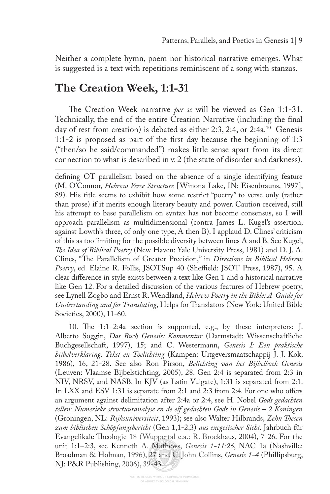Neither a complete hymn, poem nor historical narrative emerges. What is suggested is a text with repetitions reminiscent of a song with stanzas.

## **The Creation Week, 1:1-31**

The Creation Week narrative *per se* will be viewed as Gen 1:1-31. Technically, the end of the entire Creation Narrative (including the fnal day of rest from creation) is debated as either 2:3, 2:4, or 2:4a.<sup>10</sup> Genesis 1:1-2 is proposed as part of the frst day because the beginning of 1:3 ("then/so he said/commanded") makes little sense apart from its direct connection to what is described in v. 2 (the state of disorder and darkness).

defning OT parallelism based on the absence of a single identifying feature (M. O'Connor, *Hebrew Verse Structure* [Winona Lake, IN: Eisenbrauns, 1997], 89). His title seems to exhibit how some restrict "poetry" to verse only (rather than prose) if it merits enough literary beauty and power. Caution received, still his attempt to base parallelism on syntax has not become consensus, so I will approach parallelism as multidimensional (contra James L. Kugel's assertion, against Lowth's three, of only one type, A then B). I applaud D. Clines' criticism of this as too limiting for the possible diversity between lines A and B. See Kugel, *Te Idea of Biblical Poetry* (New Haven: Yale University Press, 1981) and D. J. A. Clines, "The Parallelism of Greater Precision," in *Directions in Biblical Hebrew* Poetry, ed. Elaine R. Follis, JSOTSup 40 (Sheffield: JSOT Press, 1987), 95. A clear diference in style exists between a text like Gen 1 and a historical narrative like Gen 12. For a detailed discussion of the various features of Hebrew poetry, see Lynell Zogbo and Ernst R. Wendland, *Hebrew Poetry in the Bible: A Guide for Understanding and for Translating*, Helps for Translators (New York: United Bible Societies, 2000), 11-60.

10. The 1:1-2:4a section is supported, e.g., by these interpreters: J. Alberto Soggin, *Das Buch Genesis: Kommentar* (Darmstadt: Wissenschaftliche Buchgesellschaft, 1997), 15; and C. Westermann, *Genesis I: Een praktische bijbelverklaring, Tekst en Toelichting* (Kampen: Uitgeversmaatschappij J. J. Kok, 1986), 16, 21-28. See also Ron Pirson, *Belichting van het Bijbelboek Genesis* (Leuven: Vlaamse Bijbelstichting, 2005), 28. Gen 2:4 is separated from 2:3 in NIV, NRSV, and NASB. In KJV (as Latin Vulgate), 1:31 is separated from 2:1. In LXX and ESV 1:31 is separate from 2:1 and 2:3 from 2:4. For one who ofers an argument against delimitation after 2:4a or 2:4, see H. Nobel *Gods gedachten tellen: Numerieke structuuranalyse en de elf gedachten Gods in Genesis – 2 Koningen* (Groningen, NL: *Rijksuniversiteit*, 1993); see also Walter Hilbrands, *Zehn Tesen zum biblischen Schöpfungsbericht* (Gen 1,1-2,3) *aus exegetischer Sicht*. Jahrbuch für Evangelikale Theologie 18 (Wuppertal e.a.: R. Brockhaus, 2004), 7-26. For the unit 1:1–2:3, see Kenneth A. Mathews, *Genesis 1-11:26*, NAC 1a (Nashville: Broadman & Holman, 1996), 27 and C. John Collins, *Genesis 1-4* (Phillipsburg, NJ: P&R Publishing, 2006), 39-43.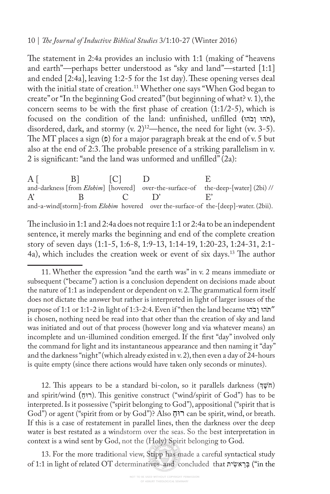The statement in 2:4a provides an inclusio with 1:1 (making of "heavens") and earth"—perhaps better understood as "sky and land"—started [1:1] and ended  $[2:4a]$ , leaving 1:2-5 for the 1st day). These opening verses deal with the initial state of creation.<sup>11</sup> Whether one says "When God began to create" or "In the beginning God created" (but beginning of what? v. 1), the concern seems to be with the frst phase of creation (1:1/2-5), which is focused on the condition of the land: unfinished, unfilled (תֹהוּ ובהוֹ), disordered, dark, and stormy  $(v, 2)^{12}$ —hence, the need for light (vv. 3-5). The MT places a sign ( $\sigma$ ) for a major paragraph break at the end of v. 5 but also at the end of 2:3. The probable presence of a striking parallelism in v. 2 is signifcant: "and the land was unformed and unflled" (2a):

 $A$  [ B] [C] D E and-darkness [from *Elohim*] [hovered] over-the-surface-of the-deep-[water] (2bi) //  $A'$  B C D' E' and-a-wind[storm]-from *Elohim* hovered over the-surface-of the-[deep]-water. (2bii).

The inclusio in 1:1 and 2:4a does not require 1:1 or 2:4a to be an independent sentence, it merely marks the beginning and end of the complete creation story of seven days (1:1-5, 1:6-8, 1:9-13, 1:14-19, 1:20-23, 1:24-31, 2:1- 4a), which includes the creation week or event of six days.<sup>13</sup> The author

12. This appears to be a standard bi-colon, so it parallels darkness (חֹשֶׁךָ) and spirit/wind (רוּחָ). This genitive construct ("wind/spirit of God") has to be interpreted. Is it possessive ("spirit belonging to God"), appositional ("spirit that is God") or agent ("spirit from or by God")? Also חַ רו can be spirit, wind, or breath. If this is a case of restatement in parallel lines, then the darkness over the deep water is best restated as a windstorm over the seas. So the best interpretation in context is a wind sent by God, not the (Holy) Spirit belonging to God.

13. For the more traditional view, Stipp has made a careful syntactical study of 1:1 in light of related OT determinatives and concluded that שׂיתִ ראֵ בְ ְ")in the

<sup>11.</sup> Whether the expression "and the earth was" in v. 2 means immediate or subsequent ("became") action is a conclusion dependent on decisions made about the nature of 1:1 as independent or dependent on v. 2. The grammatical form itself does not dictate the answer but rather is interpreted in light of larger issues of the purpose of 1:1 or 1:1-2 in light of 1:3-2:4. Even if "then the land became בהוֹ וָ תהוֹ" is chosen, nothing need be read into that other than the creation of sky and land was initiated and out of that process (however long and via whatever means) an incomplete and un-illumined condition emerged. If the frst "day" involved only the command for light and its instantaneous appearance and then naming it "day" and the darkness "night" (which already existed in v. 2), then even a day of 24-hours is quite empty (since there actions would have taken only seconds or minutes).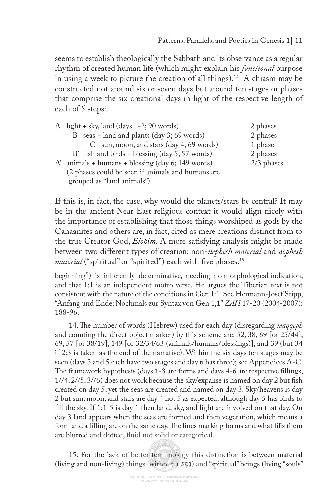seems to establish theologically the Sabbath and its observance as a regular rhythm of created human life (which might explain his *functional* purpose in using a week to picture the creation of all things).<sup>14</sup> A chiasm may be constructed not around six or seven days but around ten stages or phases that comprise the six creational days in light of the respective length of each of 5 steps:

| A light + sky, land (days 1-2; 90 words)            | 2 phases     |  |  |  |  |
|-----------------------------------------------------|--------------|--|--|--|--|
| B seas + land and plants (day 3; 69 words)          | 2 phases     |  |  |  |  |
| C sun, moon, and stars (day 4; 69 words)            | 1 phase      |  |  |  |  |
| B' fish and birds + blessing (day 5; 57 words)      | 2 phases     |  |  |  |  |
| $A'$ animals + humans + blessing (day 6; 149 words) | $2/3$ phases |  |  |  |  |
| (2 phases could be seen if animals and humans are   |              |  |  |  |  |
| grouped as "land animals")                          |              |  |  |  |  |

If this is, in fact, the case, why would the planets/stars be central? It may be in the ancient Near East religious context it would align nicely with the importance of establishing that those things worshiped as gods by the Canaanites and others are, in fact, cited as mere creations distinct from to the true Creator God, *Elohim*. A more satisfying analysis might be made between two diferent types of creation: non-*nephesh material* and *nephesh material* ("spiritual" or "spirited") each with five phases:<sup>15</sup>

beginning") is inherently determinative, needing no morphological indication, and that 1:1 is an independent motto verse. He argues the Tiberian text is not consistent with the nature of the conditions in Gen 1:1. See Hermann-Josef Stipp, "Anfang und Ende: Nochmals zur Syntax von Gen 1,1" *ZAH* 17-20 (2004-2007): 188-96.

14. The number of words (Hebrew) used for each day (disregarding *maqqeph* and counting the direct object marker) by this scheme are: 52, 38, 69 [or 25/44], 69, 57 [or 38/19], 149 [or 32/54/63 (animals/humans/blessings)], and 39 (but 34 if 2:3 is taken as the end of the narrative). Within the six days ten stages may be seen (days 3 and 5 each have two stages and day 6 has three); see Appendices A-C. The framework hypothesis (days 1-3 are forms and days 4-6 are respective fillings, 1//4, 2//5, 3//6) does not work because the sky/expanse is named on day 2 but fsh created on day 5, yet the seas are created and named on day 3. Sky/heavens is day 2 but sun, moon, and stars are day 4 not 5 as expected, although day 5 has birds to fll the sky. If 1:1-5 is day 1 then land, sky, and light are involved on that day. On day 3 land appears when the seas are formed and then vegetation, which means a form and a filling are on the same day. The lines marking forms and what fills them are blurred and dotted, fuid not solid or categorical.

15. For the lack of better terminology this distinction is between material (living and non-living) things (without a נֶפֶשׁ) and "spiritual" beings (living "souls"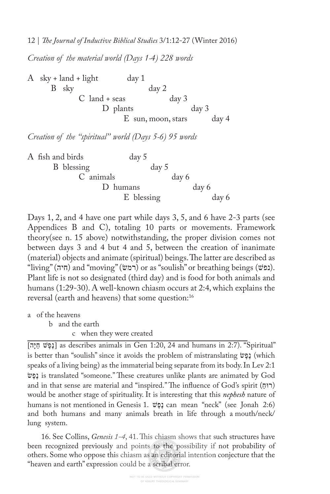12 | *Te Journal of Inductive Biblical Studies* 3/1:12-27 (Winter 2016)

*Creation of the material world (Days 1-4) 228 words*

A sky + land + light day  $1$  B sky day 2  $C$  land + seas day 3 D plants day 3 E sun, moon, stars day 4

*Creation of the "spiritual" world (Days 5-6) 95 words*

| A fish and birds |          | day 5      |       |       |       |       |
|------------------|----------|------------|-------|-------|-------|-------|
| B blessing       |          |            | day 5 |       |       |       |
| C animals        |          |            |       | day 6 |       |       |
|                  | D humans |            |       |       | day 6 |       |
|                  |          | E blessing |       |       |       | day 6 |

Days 1, 2, and 4 have one part while days 3, 5, and 6 have 2-3 parts (see Appendices B and C), totaling 10 parts or movements. Framework theory(see n. 15 above) notwithstanding, the proper division comes not between days 3 and 4 but 4 and 5, between the creation of inanimate (material) objects and animate (spiritual) beings. The latter are described as "living" (חיה) and "moving" (רמש) or as "soulish" or breathing beings (נפש). Plant life is not so designated (third day) and is food for both animals and humans (1:29-30). A well-known chiasm occurs at 2:4, which explains the reversal (earth and heavens) that some question:16

a of the heavens b and the earth c when they were created

 $\overline{[}$ וֹנֶפֶּשׁ חַיָּה [ as describes animals in Gen 1:20, 24 and humans in 2:7). "Spiritual" is better than "soulish" since it avoids the problem of mistranslating פשֶׂ נֶ) which speaks of a living being) as the immaterial being separate from its body. In Lev 2:1 פשֶׂ נֶ is translated "someone." Tese creatures unlike plants are animated by God and in that sense are material and "inspired." The influence of God's spirit (רוּחַ) would be another stage of spirituality. It is interesting that this *nephesh* nature of humans is not mentioned in Genesis 1. פשֶׁ נֶ can mean "neck" (see Jonah 2:6) and both humans and many animals breath in life through a mouth/neck/ lung system.

16. See Collins, *Genesis 1-4*, 41. Tis chiasm shows that such structures have been recognized previously and points to the possibility if not probability of others. Some who oppose this chiasm as an editorial intention conjecture that the "heaven and earth" expression could be a scribal error.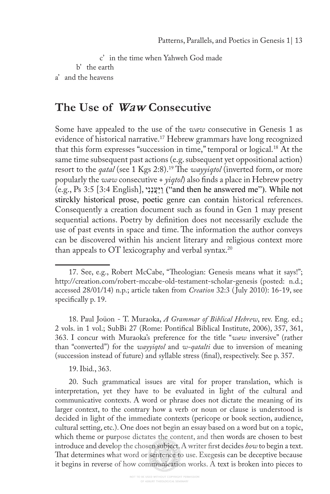```
 c' in the time when Yahweh God made
       b' the earth
a' and the heavens
```
## **The Use of** *Waw* **Consecutive**

Some have appealed to the use of the *waw* consecutive in Genesis 1 as evidence of historical narrative.17 Hebrew grammars have long recognized that this form expresses "succession in time," temporal or logical.18 At the same time subsequent past actions (e.g. subsequent yet oppositional action) resort to the *qatal* (see 1 Kgs 2:8).<sup>19</sup> The *wayyiqtol* (inverted form, or more popularly the *waw* consecutive + *yiqtol*) also fnds a place in Hebrew poetry (e.g., Ps 3:5 [3:4 English], ניִ נֵ עֲ יַ וַ ַ")and then he answered me"). While not stirckly historical prose, poetic genre can contain historical references. Consequently a creation document such as found in Gen 1 may present sequential actions. Poetry by defnition does not necessarily exclude the use of past events in space and time. The information the author conveys can be discovered within his ancient literary and religious context more than appeals to OT lexicography and verbal syntax.<sup>20</sup>

18. Paul Joüon - T. Muraoka, *A Grammar of Biblical Hebrew*, rev. Eng. ed.; 2 vols. in 1 vol.; SubBi 27 (Rome: Pontifcal Biblical Institute, 2006), 357, 361, 363. I concur with Muraoka's preference for the title "*waw* inversive" (rather than "converted") for the *wayyiqtol* and *w-qatalti* due to inversion of meaning (succession instead of future) and syllable stress (fnal), respectively. See p. 357.

19. Ibid., 363.

20. Such grammatical issues are vital for proper translation, which is interpretation, yet they have to be evaluated in light of the cultural and communicative contexts. A word or phrase does not dictate the meaning of its larger context, to the contrary how a verb or noun or clause is understood is decided in light of the immediate contexts (pericope or book section, audience, cultural setting, etc.). One does not begin an essay based on a word but on a topic, which theme or purpose dictates the content, and then words are chosen to best introduce and develop the chosen subject. A writer frst decides *how* to begin a text. Tat determines what word or sentence to use. Exegesis can be deceptive because it begins in reverse of how communication works. A text is broken into pieces to

<sup>17.</sup> See, e.g., Robert McCabe, "Theologian: Genesis means what it says!"; http://creation.com/robert-mccabe-old-testament-scholar-genesis (posted: n.d.; accessed 28/01/14) n.p.; article taken from *Creation* 32:3 ( July 2010): 16-19, see specifically p. 19.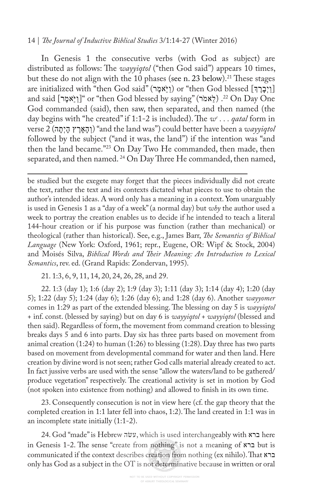#### 14 | *Te Journal of Inductive Biblical Studies* 3/1:14-27 (Winter 2016)

In Genesis 1 the consecutive verbs (with God as subject) are distributed as follows: The *wayyiqtol* ("then God said") appears 10 times, but these do not align with the 10 phases (see n. 23 below).<sup>21</sup> These stages are initialized with "then God said" (וַיִּצְבָרֶ or "then God blessed [יַיְבָרָ and said [יֵאמֵר] "or "then God blessed by saying" (לְאמֹר) .<sup>22</sup> On Day One God commanded (said), then saw, then separated, and then named (the day begins with "he created" if 1:1-2 is included). The  $w^{\varepsilon} \dots$  *qatal* form in verse 2 (וְהָאֲרֵץ הָיִתָּה) "and the land was") could better have been a *wayyiqtol* followed by the subject ("and it was, the land") if the intention was "and then the land became."23 On Day Two He commanded, then made, then separated, and then named.<sup>24</sup> On Day Three He commanded, then named,

be studied but the exegete may forget that the pieces individually did not create the text, rather the text and its contexts dictated what pieces to use to obtain the author's intended ideas. A word only has a meaning in a context. Yom unarguably is used in Genesis 1 as a "day of a week" (a normal day) but *why* the author used a week to portray the creation enables us to decide if he intended to teach a literal 144-hour creation or if his purpose was function (rather than mechanical) or theological (rather than historical). See, e.g., James Barr, *Te Semantics of Biblical Language* (New York: Oxford, 1961; repr., Eugene, OR: Wipf & Stock, 2004) and Moisés Silva, *Biblical Words and Teir Meaning: An Introduction to Lexical Semantics*, rev. ed. (Grand Rapids: Zondervan, 1995).

21. 1:3, 6, 9, 11, 14, 20, 24, 26, 28, and 29.

22. 1:3 (day 1); 1:6 (day 2); 1:9 (day 3); 1:11 (day 3); 1:14 (day 4); 1:20 (day 5); 1:22 (day 5); 1:24 (day 6); 1:26 (day 6); and 1:28 (day 6). Another *wayyomer*  comes in 1:29 as part of the extended blessing. The blessing on day 5 is *wayyiqtol* + inf. const. (blessed by saying) but on day 6 is *wayyiqtol + wayyiqtol* (blessed and then said). Regardless of form, the movement from command creation to blessing breaks days 5 and 6 into parts. Day six has three parts based on movement from animal creation (1:24) to human (1:26) to blessing (1:28). Day three has two parts based on movement from developmental command for water and then land. Here creation by divine word is not seen; rather God calls material already created to act. In fact jussive verbs are used with the sense "allow the waters/land to be gathered/ produce vegetation" respectively. The creational activity is set in motion by God (not spoken into existence from nothing) and allowed to fnish in its own time.

23. Consequently consecution is not in view here (cf. the gap theory that the completed creation in 1:1 later fell into chaos, 1:2). The land created in 1:1 was in an incomplete state initially (1:1-2).

24. God "made" is Hebrew עשׂה, which is used interchangeably with ברא here in Genesis 1-2. Te sense "create from nothing" is not a meaning of ברא but is communicated if the context describes creation from nothing (ex nihilo). Tat ברא only has God as a subject in the OT is not determinative because in written or oral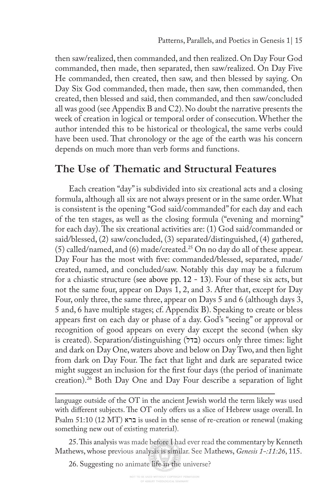then saw/realized, then commanded, and then realized. On Day Four God commanded, then made, then separated, then saw/realized. On Day Five He commanded, then created, then saw, and then blessed by saying. On Day Six God commanded, then made, then saw, then commanded, then created, then blessed and said, then commanded, and then saw/concluded all was good (see Appendix B and C2). No doubt the narrative presents the week of creation in logical or temporal order of consecution. Whether the author intended this to be historical or theological, the same verbs could have been used. That chronology or the age of the earth was his concern depends on much more than verb forms and functions.

#### **The Use of Thematic and Structural Features**

Each creation "day" is subdivided into six creational acts and a closing formula, although all six are not always present or in the same order. What is consistent is the opening "God said/commanded" for each day and each of the ten stages, as well as the closing formula ("evening and morning" for each day). The six creational activities are: (1) God said/commanded or said/blessed, (2) saw/concluded, (3) separated/distinguished, (4) gathered, (5) called/named, and (6) made/created.25 On no day do all of these appear. Day Four has the most with fve: commanded/blessed, separated, made/ created, named, and concluded/saw. Notably this day may be a fulcrum for a chiastic structure (see above pp. 12 - 13). Four of these six acts, but not the same four, appear on Days 1, 2, and 3. After that, except for Day Four, only three, the same three, appear on Days 5 and 6 (although days 3, 5 and, 6 have multiple stages; cf. Appendix B). Speaking to create or bless appears frst on each day or phase of a day. God's "seeing" or approval or recognition of good appears on every day except the second (when sky is created). Separation/distinguishing (בדל) occurs only three times: light and dark on Day One, waters above and below on Day Two, and then light from dark on Day Four. The fact that light and dark are separated twice might suggest an inclusion for the frst four days (the period of inanimate creation).<sup>26</sup> Both Day One and Day Four describe a separation of light

language outside of the OT in the ancient Jewish world the term likely was used with different subjects. The OT only offers us a slice of Hebrew usage overall. In Psalm 51:10 (12 MT) ברא is used in the sense of re-creation or renewal (making something new out of existing material).

25. This analysis was made before I had ever read the commentary by Kenneth Mathews, whose previous analysis is similar. See Mathews, *Genesis 1-:11:26*, 115.

26. Suggesting no animate life in the universe?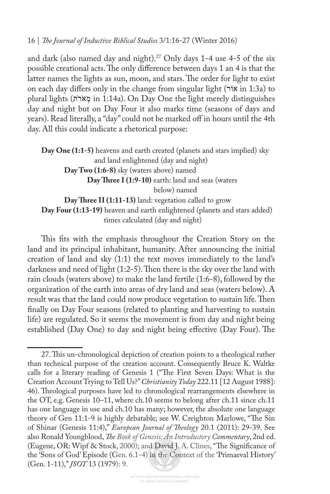#### 16 | *Te Journal of Inductive Biblical Studies* 3/1:16-27 (Winter 2016)

and dark (also named day and night).<sup>27</sup> Only days 1-4 use 4-5 of the six possible creational acts. The only difference between days 1 an 4 is that the latter names the lights as sun, moon, and stars. The order for light to exist on each day difers only in the change from singular light (אור in 1:3a) to plural lights (רתֹ אֹ מְ in 1:14a). On Day One the light merely distinguishes day and night but on Day Four it also marks time (seasons of days and years). Read literally, a "day" could not be marked off in hours until the 4th day. All this could indicate a rhetorical purpose:

**Day One (1:1-5)** heavens and earth created (planets and stars implied) sky and land enlightened (day and night)  **Day Two (1:6-8)** sky (waters above) named  **Day Tree I (1:9-10)** earth: land and seas (waters below) named  **Day Tree II (1:11-13)** land: vegetation called to grow **Day Four (1:13-19)** heaven and earth enlightened (planets and stars added) times calculated (day and night)

This fits with the emphasis throughout the Creation Story on the land and its principal inhabitant, humanity. After announcing the initial creation of land and sky (1:1) the text moves immediately to the land's darkness and need of light  $(1:2-5)$ . Then there is the sky over the land with rain clouds (waters above) to make the land fertile (1:6-8), followed by the organization of the earth into areas of dry land and seas (waters below). A result was that the land could now produce vegetation to sustain life. Then fnally on Day Four seasons (related to planting and harvesting to sustain life) are regulated. So it seems the movement is from day and night being established (Day One) to day and night being effective (Day Four). The

<sup>27.</sup> This un-chronological depiction of creation points to a theological rather than technical purpose of the creation account. Consequently Bruce K. Waltke calls for a literary reading of Genesis 1 ("The First Seven Days: What is the Creation Account Trying to Tell Us?" *Christianity Today* 222.11 [12 August 1988]: 46). Theological purposes have led to chronological rearrangements elsewhere in the OT, e.g. Genesis 10–11, where ch.10 seems to belong after ch.11 since ch.11 has one language in use and ch.10 has many; however, the absolute one language theory of Gen 11:1-9 is highly debatable; see W. Creighton Marlowe, "The Sin of Shinar (Genesis 11:4)," *European Journal of Teology* 20.1 (2011): 29-39. See also Ronald Youngblood, *Te Book of Genesis: An Introductory Commentary*, 2nd ed. (Eugene, OR: Wipf & Stock, 2000); and David J. A. Clines, "The Significance of the 'Sons of God' Episode (Gen. 6.1-4) in the Context of the 'Primaeval History' (Gen. 1-11)," *JSOT* 13 (1979): 9.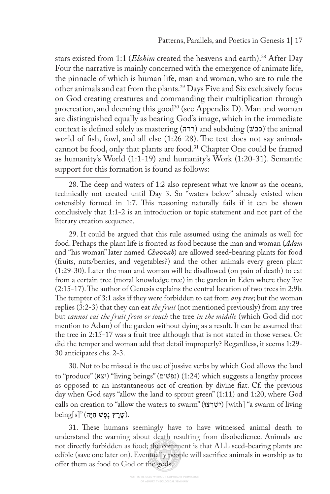stars existed from 1:1 (*Elohim* created the heavens and earth).<sup>28</sup> After Day Four the narrative is mainly concerned with the emergence of animate life, the pinnacle of which is human life, man and woman, who are to rule the other animals and eat from the plants.29 Days Five and Six exclusively focus on God creating creatures and commanding their multiplication through procreation, and deeming this good<sup>30</sup> (see Appendix D). Man and woman are distinguished equally as bearing God's image, which in the immediate context is defined solely as mastering (רדה) and subduing (כבשׁ) the animal world of fish, fowl, and all else (1:26-28). The text does not say animals cannot be food, only that plants are food.31 Chapter One could be framed as humanity's World (1:1-19) and humanity's Work (1:20-31). Semantic support for this formation is found as follows:

28. The deep and waters of 1:2 also represent what we know as the oceans, technically not created until Day 3. So "waters below" already existed when ostensibly formed in 1:7. Tis reasoning naturally fails if it can be shown conclusively that 1:1-2 is an introduction or topic statement and not part of the literary creation sequence.

29. It could be argued that this rule assumed using the animals as well for food. Perhaps the plant life is fronted as food because the man and woman (*Adam* and "his woman" later named *Chavvah*) are allowed seed-bearing plants for food (fruits, nuts/berries, and vegetables?) and the other animals every green plant (1:29-30). Later the man and woman will be disallowed (on pain of death) to eat from a certain tree (moral knowledge tree) in the garden in Eden where they live  $(2:15-17)$ . The author of Genesis explains the central location of two trees in 2:9b. The tempter of 3:1 asks if they were forbidden to eat from *any tree*; but the woman replies (3:2-3) that they can eat *the fruit* (not mentioned previously) from any tree but *cannot eat the fruit from or touch* the tree *in the middle* (which God did not mention to Adam) of the garden without dying as a result. It can be assumed that the tree in 2:15-17 was a fruit tree although that is not stated in those verses. Or did the temper and woman add that detail improperly? Regardless, it seems 1:29- 30 anticipates chs. 2-3.

30. Not to be missed is the use of jussive verbs by which God allows the land to "produce" (יצא") (living beings" (נפשים) (1:24) which suggests a lengthy process as opposed to an instantaneous act of creation by divine fat. Cf. the previous day when God says "allow the land to sprout green" (1:11) and 1:20, where God calls on creation to "allow the waters to swarm" (ישָׁרְצוּ) [with] "a swarm of living  $\binom{w}{y}$ רץ נֶפֵּשׁ חַיַּה).

31. These humans seemingly have to have witnessed animal death to understand the warning about death resulting from disobedience. Animals are not directly forbidden as food; the comment is that ALL seed-bearing plants are edible (save one later on). Eventually people will sacrifce animals in worship as to ofer them as food to God or the gods.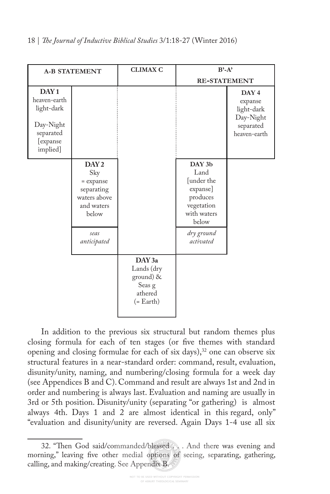|                                                                                                  | <b>A-B STATEMENT</b>                                                                              | <b>CLIMAX C</b>                                                      | $B' - A'$                                                                                                |                                                                         |  |
|--------------------------------------------------------------------------------------------------|---------------------------------------------------------------------------------------------------|----------------------------------------------------------------------|----------------------------------------------------------------------------------------------------------|-------------------------------------------------------------------------|--|
|                                                                                                  |                                                                                                   |                                                                      | <b>RE-STATEMENT</b>                                                                                      |                                                                         |  |
| DAY <sub>1</sub><br>heaven-earth<br>light-dark<br>Day-Night<br>separated<br>[expanse<br>implied] |                                                                                                   |                                                                      |                                                                                                          | DAY4<br>expanse<br>light-dark<br>Day-Night<br>separated<br>heaven-earth |  |
|                                                                                                  | DAY <sub>2</sub><br>Sky<br>= expanse<br>separating<br>waters above<br>and waters<br>below<br>seas |                                                                      | DAY 3b<br>Land<br>[under the<br>expanse]<br>produces<br>vegetation<br>with waters<br>below<br>dry ground |                                                                         |  |
|                                                                                                  | anticipated                                                                                       | DAY3a<br>Lands (dry<br>ground) &<br>Seas g<br>athered<br>$(= Earth)$ | activated                                                                                                |                                                                         |  |

In addition to the previous six structural but random themes plus closing formula for each of ten stages (or fve themes with standard opening and closing formulae for each of six days), $32$  one can observe six structural features in a near-standard order: command, result, evaluation, disunity/unity, naming, and numbering/closing formula for a week day (see Appendices B and C). Command and result are always 1st and 2nd in order and numbering is always last. Evaluation and naming are usually in 3rd or 5th position. Disunity/unity (separating "or gathering) is almost always 4th. Days 1 and 2 are almost identical in this regard, only" "evaluation and disunity/unity are reversed. Again Days 1-4 use all six

<sup>32. &</sup>quot;Then God said/commanded/blessed . . . And there was evening and morning," leaving fve other medial options of seeing, separating, gathering, calling, and making/creating. See Appendix B.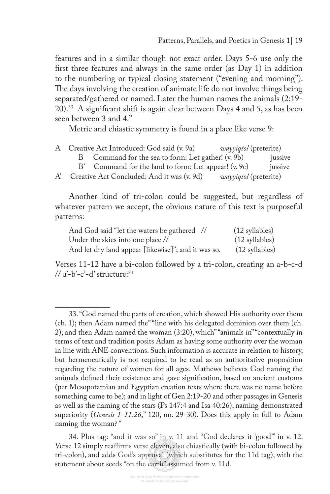features and in a similar though not exact order. Days 5-6 use only the frst three features and always in the same order (as Day 1) in addition to the numbering or typical closing statement ("evening and morning"). The days involving the creation of animate life do not involve things being separated/gathered or named. Later the human names the animals (2:19- 20).33 A signifcant shift is again clear between Days 4 and 5, as has been seen between 3 and 4"

Metric and chiastic symmetry is found in a place like verse 9:

|              | A Creative Act Introduced: God said (v. 9a)       | <i>wayyigtol</i> (preterite) |         |
|--------------|---------------------------------------------------|------------------------------|---------|
|              | Command for the sea to form: Let gather! (v. 9b)  |                              | jussive |
| $B^{\prime}$ | Command for the land to form: Let appear! (v. 9c) |                              | jussive |
|              | A' Creative Act Concluded: And it was (v. 9d)     | wayyiqtol (preterite)        |         |

Another kind of tri-colon could be suggested, but regardless of whatever pattern we accept, the obvious nature of this text is purposeful patterns:

| And God said "let the waters be gathered //         | $(12 \text{ syllables})$ |
|-----------------------------------------------------|--------------------------|
| Under the skies into one place //                   | $(12 \text{ syllables})$ |
| And let dry land appear [likewise]"; and it was so. | $(12 \text{ syllables})$ |

Verses 11-12 have a bi-colon followed by a tri-colon, creating an a-b-c-d  $\frac{1}{4}$  a'-b'-c'-d' structure:<sup>34</sup>

<sup>33. &</sup>quot;God named the parts of creation, which showed His authority over them (ch. 1); then Adam named the" "line with his delegated dominion over them (ch. 2); and then Adam named the woman (3:20), which" "animals in" "contextually in terms of text and tradition posits Adam as having some authority over the woman in line with ANE conventions. Such information is accurate in relation to history, but hermeneutically is not required to be read as an authoritative proposition regarding the nature of women for all ages. Mathews believes God naming the animals defned their existence and gave signifcation, based on ancient customs (per Mesopotamian and Egyptian creation texts where there was no name before something came to be); and in light of Gen 2:19-20 and other passages in Genesis as well as the naming of the stars (Ps 147:4 and Isa 40:26), naming demonstrated superiority (*Genesis 1-11:26*," 120, nn. 29-30). Does this apply in full to Adam naming the woman? "

<sup>34.</sup> Plus tag: "and it was so" in v. 11 and "God declares it 'good'" in v. 12. Verse 12 simply reafrms verse eleven, also chiastically (with bi-colon followed by tri-colon), and adds God's approval (which substitutes for the 11d tag), with the statement about seeds "on the earth" assumed from v. 11d.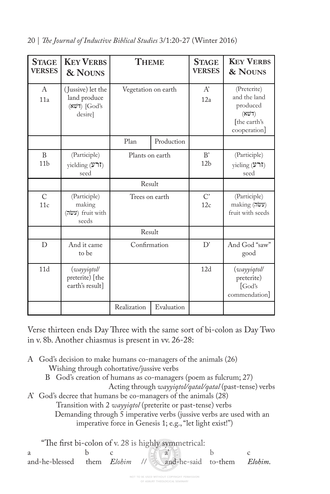| 20   The Journal of Inductive Biblical Studies 3/1:20-27 (Winter 2016) |  |
|------------------------------------------------------------------------|--|
|------------------------------------------------------------------------|--|

| <b>STAGE</b><br><b>VERSES</b> | <b>KEY VERBS</b><br>& NOUNS                                           | <b>THEME</b>        |            | <b>STAGE</b><br><b>VERSES</b> | <b>KEY VERBS</b><br>& NOUNS                                                      |
|-------------------------------|-----------------------------------------------------------------------|---------------------|------------|-------------------------------|----------------------------------------------------------------------------------|
| $\mathsf{A}$<br>11a           | (Jussive) let the<br>land produce<br>$(X\ddot{w}7)$ [God's<br>desire] | Vegetation on earth |            | $A^{\prime}$<br>12a           | (Preterite)<br>and the land<br>produced<br>(XW7)<br>[the earth's<br>cooperation] |
|                               |                                                                       | Plan                | Production |                               |                                                                                  |
| B<br>11 <sub>b</sub>          | (Participle)<br>$yielding (Y\mathcal{T})$<br>seed                     | Plants on earth     |            | B'<br>12 <sub>b</sub>         | (Participle)<br>$yield$ זרע)<br>seed                                             |
|                               |                                                                       | Result              |            |                               |                                                                                  |
| $\mathcal{C}$<br>11c          | (Participle)<br>making<br>(עשה) fruit with<br>seeds                   | Trees on earth      |            | C'<br>12c                     | (Participle)<br>making (עשׂה)<br>fruit with seeds                                |
|                               |                                                                       | Result              |            |                               |                                                                                  |
| D                             | And it came<br>to be                                                  | Confirmation        |            | D'                            | And God "saw"<br>good                                                            |
| 11d                           | (wayyiqtol/<br>preterite) [the<br>earth's result]                     |                     |            | 12d                           | (wayyiqtol/<br>preterite)<br>[God's<br>commendation]                             |
|                               |                                                                       | Realization         | Evaluation |                               |                                                                                  |

Verse thirteen ends Day Three with the same sort of bi-colon as Day Two in v. 8b. Another chiasmus is present in vv. 26-28:

- A God's decision to make humans co-managers of the animals (26)
	- Wishing through cohortative/jussive verbs
	- B God's creation of humans as co-managers (poem as fulcrum; 27)
- Acting through *wayyiqtol/qatal/qatal* (past-tense) verbs A' God's decree that humans be co-managers of the animals (28)

Transition with 2 *wayyiqtol* (preterite or past-tense) verbs

 Demanding through 5 imperative verbs (jussive verbs are used with an imperative force in Genesis 1; e.g., "let light exist!")

| "The first bi-colon of v. 28 is highly symmetrical:                      |  |  |  |                              |  |  |  |  |
|--------------------------------------------------------------------------|--|--|--|------------------------------|--|--|--|--|
| a                                                                        |  |  |  | $b \quad c \quad a' \quad b$ |  |  |  |  |
| and-he-blessed them <i>Elohim</i> // and-he-said to-them <i>Elohim</i> . |  |  |  |                              |  |  |  |  |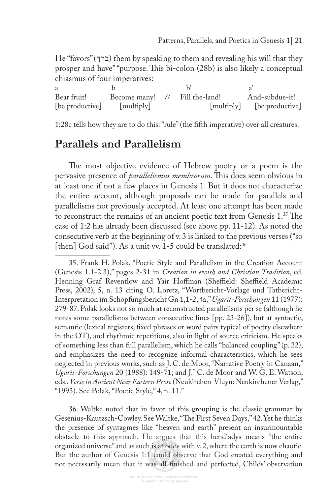He "favors" (ברך) them by speaking to them and revealing his will that they prosper and have" "purpose. This bi-colon (28b) is also likely a conceptual chiasmus of four imperatives:

| а               |                                |  |                            |
|-----------------|--------------------------------|--|----------------------------|
| Bear fruit!     | Become many! // Fill the-land! |  | And-subdue-it!             |
| [be productive] | [multiply]                     |  | [multiply] [be productive] |

1:28c tells how they are to do this: "rule" (the ffth imperative) over all creatures.

#### **Parallels and Parallelism**

The most objective evidence of Hebrew poetry or a poem is the pervasive presence of *parallelismus membrorum*. This does seem obvious in at least one if not a few places in Genesis 1. But it does not characterize the entire account, although proposals can be made for parallels and parallelisms not previously accepted. At least one attempt has been made to reconstruct the remains of an ancient poetic text from Genesis 1.<sup>35</sup> The case of 1:2 has already been discussed (see above pp. 11-12). As noted the consecutive verb at the beginning of v. 3 is linked to the previous verses ("so [then] God said"). As a unit vv. 1-5 could be translated:<sup>36</sup>

35. Frank H. Polak, "Poetic Style and Parallelism in the Creation Account (Genesis 1.1-2.3)," pages 2-31 in *Creation in ewish and Christian Tradition*, ed. Henning Graf Reventlow and Yair Hoffman (Sheffield: Sheffield Academic Press, 2002), 5, n. 13 citing O. Loretz, "Wortbericht-Vorlage und Tatbericht-Interpretation im Schöpfungsbericht Gn 1,1-2, 4a," *Ugarit-Forschungen* 11 (1977): 279-87. Polak looks not so much at reconstructed parallelisms per se (although he notes some parallelisms between consecutive lines [pp. 23-26]), but at syntactic, semantic (lexical registers, fxed phrases or word pairs typical of poetry elsewhere in the OT), and rhythmic repetitions, also in light of source criticism. He speaks of something less than full parallelism, which he calls "balanced coupling" (p. 22), and emphasizes the need to recognize informal characteristics, which he sees neglected in previous works, such as J. C. de Moor, "Narrative Poetry in Canaan," *Ugarit-Forschungen* 20 (1988): 149-71; and J." C. de Moor and W. G. E. Watson, eds., *Verse in Ancient Near Eastern Prose* (Neukirchen-Vluyn: Neukirchener Verlag," "1993). See Polak, "Poetic Style," 4, n. 11."

36. Waltke noted that in favor of this grouping is the classic grammar by Gesenius-Kautzsch-Cowley. See Waltke, "The First Seven Days," 42. Yet he thinks the presence of syntagmes like "heaven and earth" present an insurmountable obstacle to this approach. He argues that this hendiadys means "the entire organized universe" and as such is at odds with v. 2, where the earth is now chaotic. But the author of Genesis 1:1 could observe that God created everything and not necessarily mean that it was all fnished and perfected, Childs' observation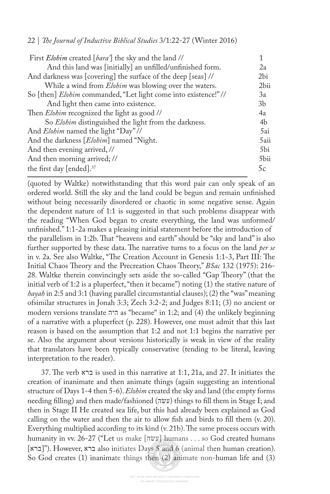|  |  |  |  | 22   The Journal of Inductive Biblical Studies 3/1:22-27 (Winter 2016) |  |  |  |  |  |  |  |  |
|--|--|--|--|------------------------------------------------------------------------|--|--|--|--|--|--|--|--|
|--|--|--|--|------------------------------------------------------------------------|--|--|--|--|--|--|--|--|

| First Elohim created [bara'] the sky and the land //            |                |
|-----------------------------------------------------------------|----------------|
| And this land was [initially] an unfilled/unfinished form.      | 2a             |
| And darkness was [covering] the surface of the deep [seas] //   | 2bi            |
| While a wind from <i>Elohim</i> was blowing over the waters.    | 2bii           |
| So [then] Elohim commanded, "Let light come into existence!" // | 3a             |
| And light then came into existence.                             | 3 <sub>b</sub> |
| Then <i>Elohim</i> recognized the light as good //              | 4a             |
| So Elohim distinguished the light from the darkness.            | 4 <sub>b</sub> |
| And Elohim named the light "Day" //                             | 5ai            |
| And the darkness [Elohim] named "Night.                         | 5aii           |
| And then evening arrived, //                                    | 5bi            |
| And then morning arrived; //                                    | 5bii           |
| the first day [ended]. <sup>37</sup>                            | 5c             |

(quoted by Waltke) notwithstanding that this word pair can only speak of an ordered world. Still the sky and the land could be begun and remain unfnished without being necessarily disordered or chaotic in some negative sense. Again the dependent nature of 1:1 is suggested in that such problems disappear with the reading "When God began to create everything, the land was unformed/ unfnished." 1:1-2a makes a pleasing initial statement before the introduction of the parallelism in 1:2b. That "heavens and earth" should be "sky and land" is also further supported by these data. The narrative turns to a focus on the land *per se* in v. 2a. See also Waltke, "The Creation Account in Genesis 1:1-3, Part III: The Initial Chaos Theory and the Precreation Chaos Theory," *BSac* 132 (1975): 216-28. Waltke therein convincingly sets aside the so-called "Gap Theory" (that the initial verb of 1:2 is a pluperfect, "then it became") noting (1) the stative nature of *hayah* in 2:5 and 3:1 (having parallel circumstantial clauses); (2) the "was" meaning ofsimilar structures in Jonah 3:3; Zech 3:2-2; and Judges 8:11; (3) no ancient or modern versions translate היה as "became" in 1:2; and (4) the unlikely beginning of a narrative with a pluperfect (p. 228). However, one must admit that this last reason is based on the assumption that 1:2 and not 1:1 begins the narrative per se. Also the argument about versions historically is weak in view of the reality that translators have been typically conservative (tending to be literal, leaving interpretation to the reader).

37. Te verb ברא is used in this narrative at 1:1, 21a, and 27. It initiates the creation of inanimate and then animate things (again suggesting an intentional structure of Days 1-4 then 5-6). *Elohim* created the sky and land (the empty forms needing filling) and then made/fashioned (עשׂה) things to fill them in Stage I; and then in Stage II He created sea life, but this had already been explained as God calling on the water and then the air to allow fsh and birds to fll them (v. 20). Everything multiplied according to its kind  $(v. 21b)$ . The same process occurs with humanity in vv. 26-27 ("Let us make [עשׂה] humans . . . so God created humans [ברא("[. However, ברא also initiates Days 5 and 6 (animal then human creation). So God creates (1) inanimate things then (2) animate non-human life and (3)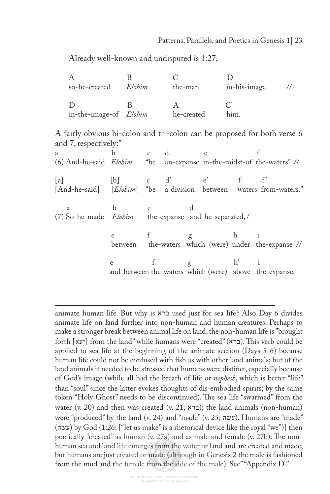#### Patterns, Parallels, and Poetics in Genesis 1| 23

Already well-known and undisputed is 1:27,

| so-he-created                      | Elohim | the-man    | in-his-image               |  |
|------------------------------------|--------|------------|----------------------------|--|
| D<br>in-the-image-of <i>Elohim</i> |        | he-created | $\curvearrowright$<br>him. |  |

A fairly obvious bi-colon and tri-colon can be proposed for both verse 6 and 7, respectively:"

| a<br>(6) And-he-said Elohim "be an-expanse in-the-midst-of the-waters" //                    | b c d     |  | e.         |                                                        |
|----------------------------------------------------------------------------------------------|-----------|--|------------|--------------------------------------------------------|
| [a] $[b]$ c d' e' f f'<br>[And-he-said] [Elohim] "be a-division between waters from-waters." |           |  |            |                                                        |
| a b c d<br>(7) So-he-made Elohim the-expanse and-he-separated, /                             |           |  |            |                                                        |
|                                                                                              | e f g h i |  |            | between the-waters which (were) under the-expanse //   |
|                                                                                              | e         |  | f $g$ h' i | and-between the-waters which (were) above the-expanse. |

animate human life. But why is ברא used just for sea life? Also Day 6 divides animate life on land further into non-human and human creatures. Perhaps to make a stronger break between animal life on land, the non-human life is "brought forth [יעא] from the land" while humans were "created" (ברא). This verb could be applied to sea life at the beginning of the animate section (Days 5-6) because human life could not be confused with fsh as with other land animals; but of the land animals it needed to be stressed that humans were distinct, especially because of God's image (while all had the breath of life or *nephesh*, which is better "life" than "soul" since the latter evokes thoughts of dis-embodied spirits; by the same token "Holy Ghost" needs to be discontinued). The sea life "swarmed" from the water (v. 20) and then was created (v. 21; ברא); the land animals (non-human) were "produced" by the land (v. 24) and "made" (v. 25; עשׂה). Humans are "made" (עשׂה) by God (1:26; ["let us make" is a rhetorical device like the royal "we")] then poetically "created" as human  $(v. 27a)$  and as male and female  $(v. 27b)$ . The nonhuman sea and land life emerges from the water or land and are created and made, but humans are just created or made (although in Genesis 2 the male is fashioned from the mud and the female from the side of the male). See" "Appendix D."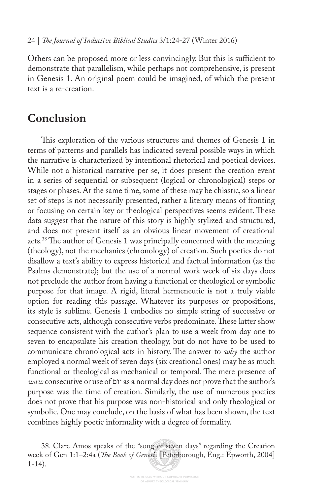#### 24 | *Te Journal of Inductive Biblical Studies* 3/1:24-27 (Winter 2016)

Others can be proposed more or less convincingly. But this is sufficient to demonstrate that parallelism, while perhaps not comprehensive, is present in Genesis 1. An original poem could be imagined, of which the present text is a re-creation.

## **Conclusion**

This exploration of the various structures and themes of Genesis 1 in terms of patterns and parallels has indicated several possible ways in which the narrative is characterized by intentional rhetorical and poetical devices. While not a historical narrative per se, it does present the creation event in a series of sequential or subsequent (logical or chronological) steps or stages or phases. At the same time, some of these may be chiastic, so a linear set of steps is not necessarily presented, rather a literary means of fronting or focusing on certain key or theological perspectives seems evident. These data suggest that the nature of this story is highly stylized and structured, and does not present itself as an obvious linear movement of creational acts.<sup>38</sup> The author of Genesis 1 was principally concerned with the meaning (theology), not the mechanics (chronology) of creation. Such poetics do not disallow a text's ability to express historical and factual information (as the Psalms demonstrate); but the use of a normal work week of six days does not preclude the author from having a functional or theological or symbolic purpose for that image. A rigid, literal hermeneutic is not a truly viable option for reading this passage. Whatever its purposes or propositions, its style is sublime. Genesis 1 embodies no simple string of successive or consecutive acts, although consecutive verbs predominate. These latter show sequence consistent with the author's plan to use a week from day one to seven to encapsulate his creation theology, but do not have to be used to communicate chronological acts in history. The answer to why the author employed a normal week of seven days (six creational ones) may be as much functional or theological as mechanical or temporal. The mere presence of *waw* consecutive or use of יום as a normal day does not prove that the author's purpose was the time of creation. Similarly, the use of numerous poetics does not prove that his purpose was non-historical and only theological or symbolic. One may conclude, on the basis of what has been shown, the text combines highly poetic informality with a degree of formality.

<sup>38.</sup> Clare Amos speaks of the "song of seven days" regarding the Creation week of Gen 1:1–2:4a (*Te Book of Genesis* [Peterborough, Eng.: Epworth, 2004] 1-14).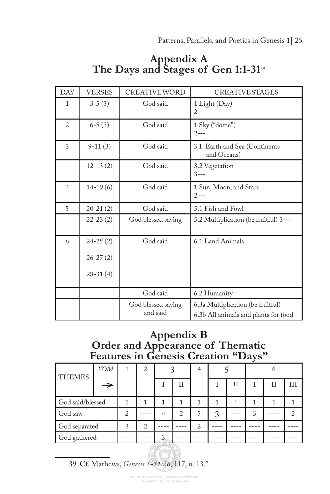| <b>DAY</b>     | <b>VERSES</b> | <b>CREATIVEWORD</b>            | <b>CREATIVE STAGES</b>                                                    |
|----------------|---------------|--------------------------------|---------------------------------------------------------------------------|
| $\mathbf{1}$   | $3-5(3)$      | God said                       | 1 Light (Day)<br>$2--$                                                    |
| $\overline{2}$ | $6 - 8(3)$    | God said                       | 1 Sky ("dome")<br>$2^{---}$                                               |
| 3              | $9-11(3)$     | God said                       | 3.1 Earth and Sea (Continents<br>and Oceans)                              |
|                | $12-13(2)$    | God said                       | 3.2 Vegetation<br>$3--$                                                   |
| $\overline{4}$ | $14-19(6)$    | God said                       | 1 Sun, Moon, and Stars<br>2---                                            |
| 5              | $20 - 21(2)$  | God said                       | 5.1 Fish and Fowl                                                         |
|                | $22 - 23(2)$  | God blessed saying             | 5.2 Multiplication (be fruitful) 3---                                     |
| 6              | $24 - 25(2)$  | God said                       | 6.1 Land Animals                                                          |
|                | $26 - 27(2)$  |                                |                                                                           |
|                | $28 - 31(4)$  |                                |                                                                           |
|                |               | God said                       | 6.2 Humanity                                                              |
|                |               | God blessed saying<br>and said | 6.3a Multiplication (be fruitful)<br>6.3b All animals and plants for food |

# **Appendix A The Days and Stages of Gen 1:1-31**<sup>39</sup>

## **Appendix B Order and Appearance of Thematic Features in Genesis Creation "Days"**

| <b>THEMES</b>    | YOM           |   | 2 |   |                |  |   |   |             |   |
|------------------|---------------|---|---|---|----------------|--|---|---|-------------|---|
|                  | $\rightarrow$ |   |   |   | Ħ              |  | П |   | $_{\rm II}$ | Ш |
| God said/blessed |               |   |   |   |                |  |   |   |             |   |
| God saw          |               |   |   |   | $\mathfrak{D}$ |  |   | 3 |             |   |
| God separated    |               | 3 |   |   |                |  |   |   |             |   |
| God gathered     |               |   |   | ◠ |                |  |   |   |             |   |

39. Cf. Mathews, *Genesis 1-11:26*, 117, n. 13."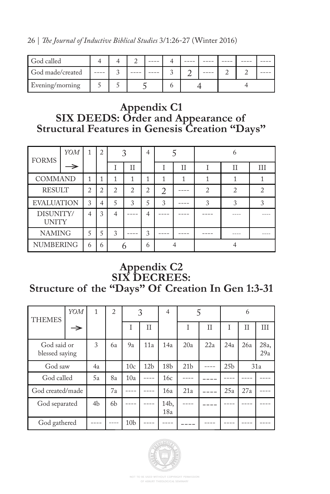26 | *Te Journal of Inductive Biblical Studies* 3/1:26-27 (Winter 2016)

| God called       |  |  |  |  |  |  |  |  |
|------------------|--|--|--|--|--|--|--|--|
| God made/created |  |  |  |  |  |  |  |  |
| Evening/morning  |  |  |  |  |  |  |  |  |

## **Appendix C1 SIX DEEDS: Order and Appearance of Structural Features in Genesis Creation "Days"**

| <b>FORMS</b>              | YOM | 1              | 2              |                | ⌒              |                |   |   | b              |                |   |  |
|---------------------------|-----|----------------|----------------|----------------|----------------|----------------|---|---|----------------|----------------|---|--|
|                           |     |                |                |                | Ħ              |                |   | Ħ | T              | Н              | Ш |  |
| COMMAND                   |     | 1              | $\mathbf{1}$   | 1              | 1              | 1              | 1 | 1 |                |                |   |  |
| <b>RESULT</b>             |     | $\overline{2}$ | $\overline{2}$ | $\overline{2}$ | $\overline{c}$ | $\overline{2}$ |   |   | $\mathfrak{D}$ | $\overline{2}$ |   |  |
| <b>EVALUATION</b>         |     | 3              | $\overline{4}$ | 5              | 3              | 5              | 3 |   | 3              | 3              | 3 |  |
| DISUNITY/<br><b>UNITY</b> |     | 4              | 3              | 4              |                | 4              |   |   |                |                |   |  |
| <b>NAMING</b>             |     | 5              | 5              | 3              |                | 3              |   |   |                |                |   |  |
| <b>NUMBERING</b>          |     | 6              | 6              |                |                | 6              |   |   |                |                |   |  |

#### **Appendix C2 SIX DECREES: Structure of the "Days" Of Creation In Gen 1:3-31**

| <b>THEMES</b>                 | YOM | 1              | $\overline{2}$ | 3               |                 | $\overline{4}$  | 5               |     | 6               |              |             |
|-------------------------------|-----|----------------|----------------|-----------------|-----------------|-----------------|-----------------|-----|-----------------|--------------|-------------|
|                               | →   |                |                | T               | $\mathbf{I}$    |                 | T               | Ħ   |                 | $\mathbf{I}$ | IΙI         |
| God said or<br>blessed saying |     | 3              | 6а             | 9a              | 11a             | 14a             | 20a             | 22a | 24a             | 26a          | 28a,<br>29a |
| God saw                       |     | 4a             |                | 10c             | 12 <sub>b</sub> | 18 <sub>b</sub> | 21 <sub>b</sub> |     | 25 <sub>b</sub> |              | 31a         |
| God called                    |     | 5a             | 8a             | 10a             |                 | 16c             |                 |     |                 |              |             |
| God created/made              |     |                | 7a             |                 |                 | 16a             | 21a             |     | 25a             | 27a          |             |
| God separated                 |     | 4 <sub>b</sub> | 6b             |                 |                 | 14b,<br>18a     |                 |     |                 |              |             |
| God gathered                  |     |                |                | 10 <sub>b</sub> |                 |                 |                 |     |                 |              |             |